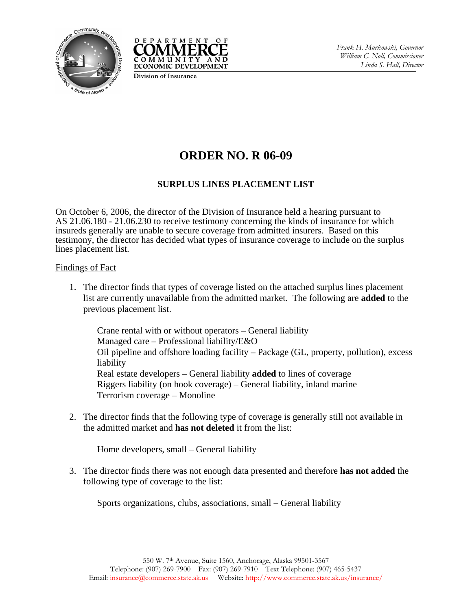



**Division of Insurance** 

## **ORDER NO. R 06-09**

## **SURPLUS LINES PLACEMENT LIST**

On October 6, 2006, the director of the Division of Insurance held a hearing pursuant to AS 21.06.180 - 21.06.230 to receive testimony concerning the kinds of insurance for which insureds generally are unable to secure coverage from admitted insurers. Based on this testimony, the director has decided what types of insurance coverage to include on the surplus lines placement list.

## Findings of Fact

1. The director finds that types of coverage listed on the attached surplus lines placement list are currently unavailable from the admitted market. The following are **added** to the previous placement list.

Crane rental with or without operators – General liability Managed care – Professional liability/E&O Oil pipeline and offshore loading facility – Package (GL, property, pollution), excess liability Real estate developers – General liability **added** to lines of coverage Riggers liability (on hook coverage) – General liability, inland marine Terrorism coverage – Monoline

2. The director finds that the following type of coverage is generally still not available in the admitted market and **has not deleted** it from the list:

Home developers, small – General liability

3. The director finds there was not enough data presented and therefore **has not added** the following type of coverage to the list:

Sports organizations, clubs, associations, small – General liability